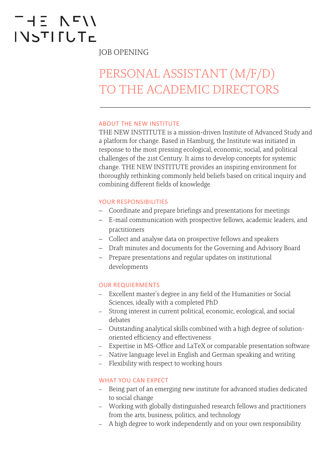# $-15 N I$ **INSTIFUTE**

JOB OPENING

# PERSONAL ASSISTANT (M/F/D) TO THE ACADEMIC DIRECTORS

#### ABOUT THE NEW INSTITUTE

THE NEW INSTITUTE is a mission-driven Institute of Advanced Study and a platform for change. Based in Hamburg, the Institute was initiated in response to the most pressing ecological, economic, social, and political challenges of the 21st Century. It aims to develop concepts for systemic change. THE NEW INSTITUTE provides an inspiring environment for thoroughly rethinking commonly held beliefs based on critical inquiry and combining different fields of knowledge

#### YOUR RESPONSIBILITIES

- Coordinate and prepare briefings and presentations for meetings
- E-mail communication with prospective fellows, academic leaders, and practitioners
- Collect and analyse data on prospective fellows and speakers
- Draft minutes and documents for the Governing and Advisory Board
- Prepare presentations and regular updates on institutional developments

## OUR REQUIERMENTS

- Excellent master's degree in any field of the Humanities or Social Sciences, ideally with a completed PhD
- Strong interest in current political, economic, ecological, and social debates
- Outstanding analytical skills combined with a high degree of solutionoriented efficiency and effectiveness
- Expertise in MS-Office and LaTeX or comparable presentation software
- Native language level in English and German speaking and writing
- Flexibility with respect to working hours

## WHAT YOU CAN EXPECT

- Being part of an emerging new institute for advanced studies dedicated to social change
- Working with globally distinguished research fellows and practitioners from the arts, business, politics, and technology
- A high degree to work independently and on your own responsibility